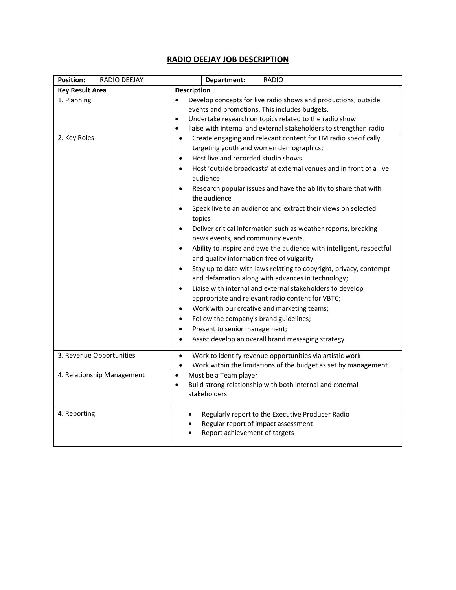## **RADIO DEEJAY JOB DESCRIPTION**

| <b>Position:</b>            | RADIO DEEJAY               |                                                                                                                                                                                                                                                                                                                                                                                                                                                                                                                                                                                                                                                                                                                                                                                                                                                                                                                                                                                                                      | <b>RADIO</b><br>Department:                                                                                                                                                                                                                                                                                                                                                                                              |  |
|-----------------------------|----------------------------|----------------------------------------------------------------------------------------------------------------------------------------------------------------------------------------------------------------------------------------------------------------------------------------------------------------------------------------------------------------------------------------------------------------------------------------------------------------------------------------------------------------------------------------------------------------------------------------------------------------------------------------------------------------------------------------------------------------------------------------------------------------------------------------------------------------------------------------------------------------------------------------------------------------------------------------------------------------------------------------------------------------------|--------------------------------------------------------------------------------------------------------------------------------------------------------------------------------------------------------------------------------------------------------------------------------------------------------------------------------------------------------------------------------------------------------------------------|--|
| <b>Key Result Area</b>      |                            | <b>Description</b>                                                                                                                                                                                                                                                                                                                                                                                                                                                                                                                                                                                                                                                                                                                                                                                                                                                                                                                                                                                                   |                                                                                                                                                                                                                                                                                                                                                                                                                          |  |
| 1. Planning<br>2. Key Roles |                            | Develop concepts for live radio shows and productions, outside<br>$\bullet$<br>events and promotions. This includes budgets.<br>Undertake research on topics related to the radio show<br>$\bullet$<br>liaise with internal and external stakeholders to strengthen radio<br>$\bullet$<br>Create engaging and relevant content for FM radio specifically<br>$\bullet$<br>targeting youth and women demographics;<br>Host live and recorded studio shows<br>$\bullet$<br>Host 'outside broadcasts' at external venues and in front of a live<br>$\bullet$<br>audience<br>Research popular issues and have the ability to share that with<br>$\bullet$<br>the audience<br>Speak live to an audience and extract their views on selected<br>$\bullet$<br>topics<br>Deliver critical information such as weather reports, breaking<br>$\bullet$<br>news events, and community events.<br>Ability to inspire and awe the audience with intelligent, respectful<br>$\bullet$<br>and quality information free of vulgarity. |                                                                                                                                                                                                                                                                                                                                                                                                                          |  |
|                             |                            | $\bullet$<br>$\bullet$<br>$\bullet$<br>$\bullet$<br>$\bullet$<br>٠                                                                                                                                                                                                                                                                                                                                                                                                                                                                                                                                                                                                                                                                                                                                                                                                                                                                                                                                                   | Stay up to date with laws relating to copyright, privacy, contempt<br>and defamation along with advances in technology;<br>Liaise with internal and external stakeholders to develop<br>appropriate and relevant radio content for VBTC;<br>Work with our creative and marketing teams;<br>Follow the company's brand guidelines;<br>Present to senior management;<br>Assist develop an overall brand messaging strategy |  |
|                             | 3. Revenue Opportunities   | $\bullet$<br>$\bullet$                                                                                                                                                                                                                                                                                                                                                                                                                                                                                                                                                                                                                                                                                                                                                                                                                                                                                                                                                                                               | Work to identify revenue opportunities via artistic work<br>Work within the limitations of the budget as set by management                                                                                                                                                                                                                                                                                               |  |
|                             | 4. Relationship Management | $\bullet$<br>$\bullet$                                                                                                                                                                                                                                                                                                                                                                                                                                                                                                                                                                                                                                                                                                                                                                                                                                                                                                                                                                                               | Must be a Team player<br>Build strong relationship with both internal and external<br>stakeholders                                                                                                                                                                                                                                                                                                                       |  |
| 4. Reporting                |                            | $\bullet$                                                                                                                                                                                                                                                                                                                                                                                                                                                                                                                                                                                                                                                                                                                                                                                                                                                                                                                                                                                                            | Regularly report to the Executive Producer Radio<br>Regular report of impact assessment<br>Report achievement of targets                                                                                                                                                                                                                                                                                                 |  |